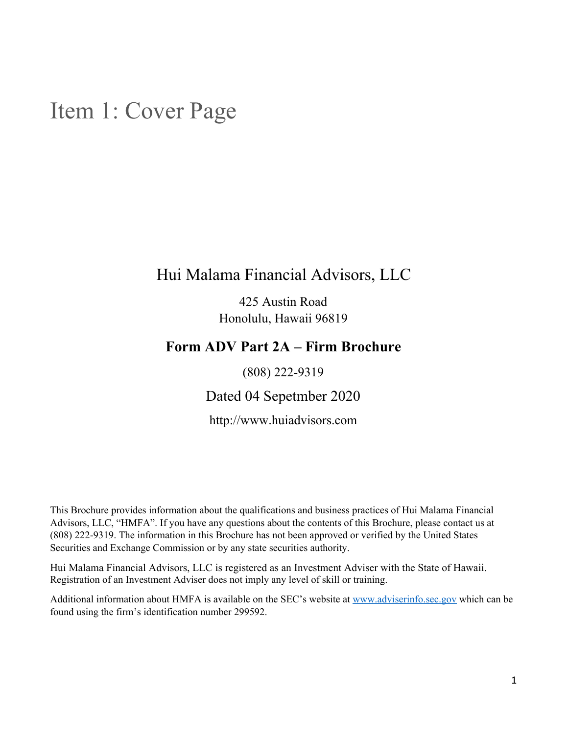## <span id="page-0-0"></span>Item 1: Cover Page

## Hui Malama Financial Advisors, LLC

425 Austin Road Honolulu, Hawaii 96819

### **Form ADV Part 2A – Firm Brochure**

(808) 222-9319

Dated 04 Sepetmber 2020

http://www.huiadvisors.com

This Brochure provides information about the qualifications and business practices of Hui Malama Financial Advisors, LLC, "HMFA". If you have any questions about the contents of this Brochure, please contact us at (808) 222-9319. The information in this Brochure has not been approved or verified by the United States Securities and Exchange Commission or by any state securities authority.

Hui Malama Financial Advisors, LLC is registered as an Investment Adviser with the State of Hawaii. Registration of an Investment Adviser does not imply any level of skill or training.

Additional information about HMFA is available on the SEC's website at [www.adviserinfo.sec.gov](http://www.adviserinfo.sec.gov/) which can be found using the firm's identification number 299592.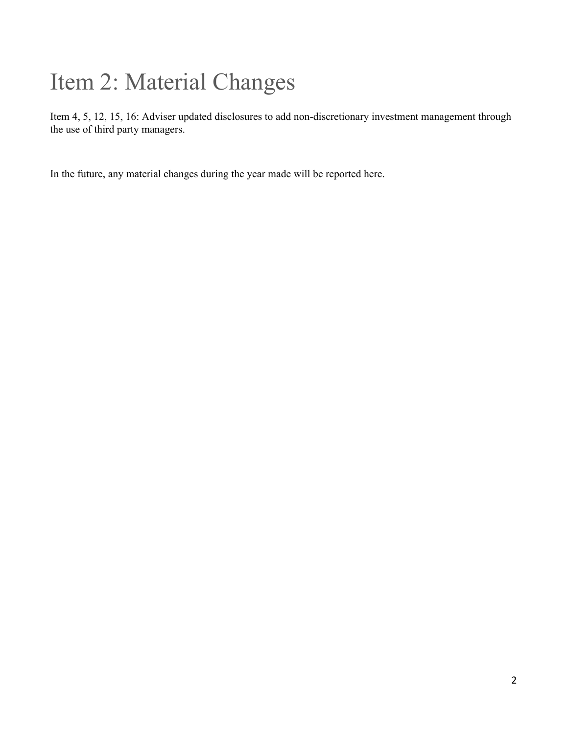# <span id="page-1-0"></span>Item 2: Material Changes

Item 4, 5, 12, 15, 16: Adviser updated disclosures to add non-discretionary investment management through the use of third party managers.

In the future, any material changes during the year made will be reported here.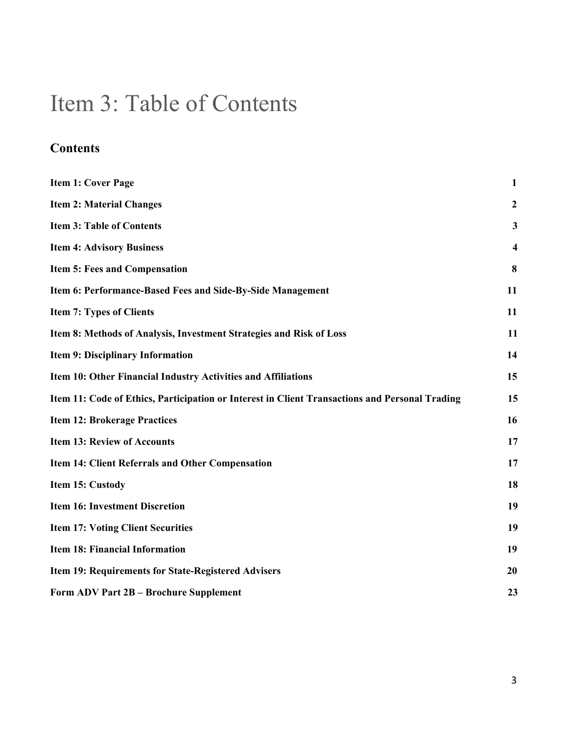## <span id="page-2-0"></span>Item 3: Table of Contents

## **Contents**

| <b>Item 1: Cover Page</b>                                                                      | 1                       |
|------------------------------------------------------------------------------------------------|-------------------------|
| <b>Item 2: Material Changes</b>                                                                | $\boldsymbol{2}$        |
| <b>Item 3: Table of Contents</b>                                                               | 3                       |
| <b>Item 4: Advisory Business</b>                                                               | $\overline{\mathbf{4}}$ |
| <b>Item 5: Fees and Compensation</b>                                                           | 8                       |
| Item 6: Performance-Based Fees and Side-By-Side Management                                     | 11                      |
| <b>Item 7: Types of Clients</b>                                                                | 11                      |
| Item 8: Methods of Analysis, Investment Strategies and Risk of Loss                            | 11                      |
| <b>Item 9: Disciplinary Information</b>                                                        | 14                      |
| Item 10: Other Financial Industry Activities and Affiliations                                  | 15                      |
| Item 11: Code of Ethics, Participation or Interest in Client Transactions and Personal Trading | 15                      |
| <b>Item 12: Brokerage Practices</b>                                                            | 16                      |
| <b>Item 13: Review of Accounts</b>                                                             | 17                      |
| <b>Item 14: Client Referrals and Other Compensation</b>                                        | 17                      |
| Item 15: Custody                                                                               | 18                      |
| <b>Item 16: Investment Discretion</b>                                                          | 19                      |
| <b>Item 17: Voting Client Securities</b>                                                       | 19                      |
| <b>Item 18: Financial Information</b>                                                          | 19                      |
| Item 19: Requirements for State-Registered Advisers                                            | 20                      |
| Form ADV Part 2B - Brochure Supplement                                                         | 23                      |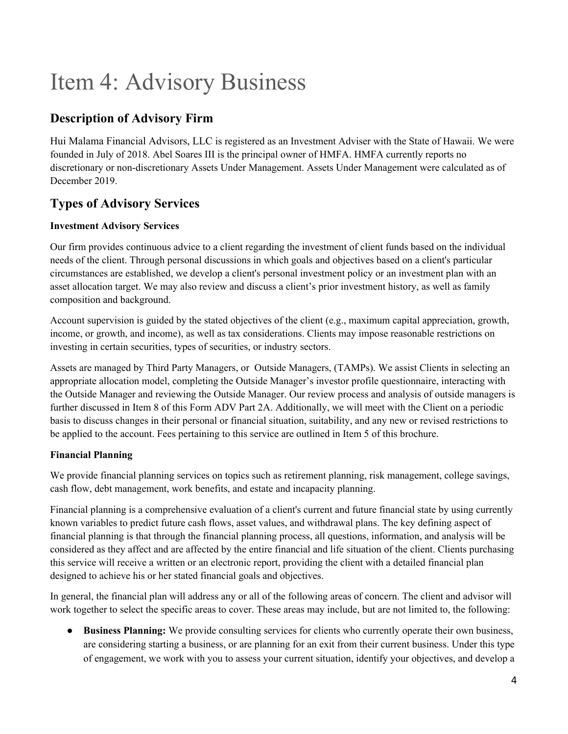## <span id="page-3-0"></span>Item 4: Advisory Business

### **Description of Advisory Firm**

Hui Malama Financial Advisors, LLC is registered as an Investment Adviser with the State of Hawaii. We were founded in July of 2018. Abel Soares III is the principal owner of HMFA. HMFA currently reports no discretionary or non-discretionary Assets Under Management. Assets Under Management were calculated as of December 2019.

### **Types of Advisory Services**

#### **Investment Advisory Services**

Our firm provides continuous advice to a client regarding the investment of client funds based on the individual needs of the client. Through personal discussions in which goals and objectives based on a client's particular circumstances are established, we develop a client's personal investment policy or an investment plan with an asset allocation target. We may also review and discuss a client's prior investment history, as well as family composition and background.

Account supervision is guided by the stated objectives of the client (e.g., maximum capital appreciation, growth, income, or growth, and income), as well as tax considerations. Clients may impose reasonable restrictions on investing in certain securities, types of securities, or industry sectors.

Assets are managed by Third Party Managers, or Outside Managers, (TAMPs). We assist Clients in selecting an appropriate allocation model, completing the Outside Manager's investor profile questionnaire, interacting with the Outside Manager and reviewing the Outside Manager. Our review process and analysis of outside managers is further discussed in Item 8 of this Form ADV Part 2A. Additionally, we will meet with the Client on a periodic basis to discuss changes in their personal or financial situation, suitability, and any new or revised restrictions to be applied to the account. Fees pertaining to this service are outlined in Item 5 of this brochure.

#### **Financial Planning**

We provide financial planning services on topics such as retirement planning, risk management, college savings, cash flow, debt management, work benefits, and estate and incapacity planning.

Financial planning is a comprehensive evaluation of a client's current and future financial state by using currently known variables to predict future cash flows, asset values, and withdrawal plans. The key defining aspect of financial planning is that through the financial planning process, all questions, information, and analysis will be considered as they affect and are affected by the entire financial and life situation of the client. Clients purchasing this service will receive a written or an electronic report, providing the client with a detailed financial plan designed to achieve his or her stated financial goals and objectives.

In general, the financial plan will address any or all of the following areas of concern. The client and advisor will work together to select the specific areas to cover. These areas may include, but are not limited to, the following:

● **Business Planning:** We provide consulting services for clients who currently operate their own business, are considering starting a business, or are planning for an exit from their current business. Under this type of engagement, we work with you to assess your current situation, identify your objectives, and develop a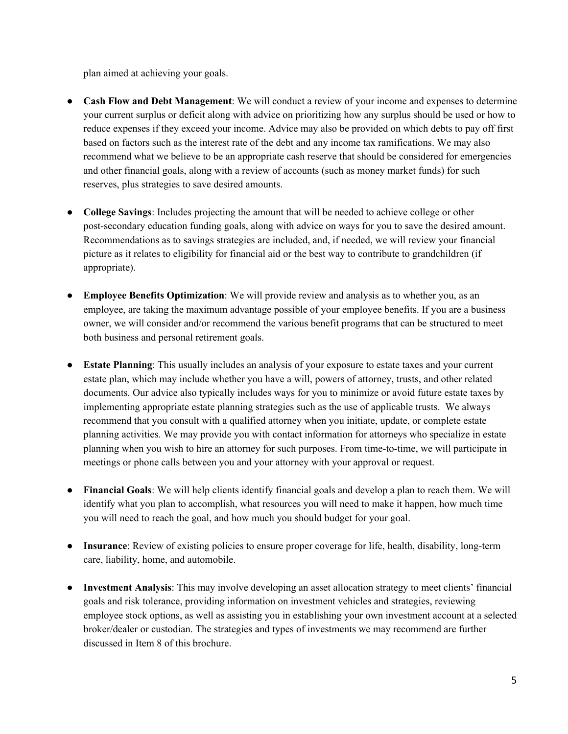plan aimed at achieving your goals.

- **Cash Flow and Debt Management**: We will conduct a review of your income and expenses to determine your current surplus or deficit along with advice on prioritizing how any surplus should be used or how to reduce expenses if they exceed your income. Advice may also be provided on which debts to pay off first based on factors such as the interest rate of the debt and any income tax ramifications. We may also recommend what we believe to be an appropriate cash reserve that should be considered for emergencies and other financial goals, along with a review of accounts (such as money market funds) for such reserves, plus strategies to save desired amounts.
- **College Savings**: Includes projecting the amount that will be needed to achieve college or other post-secondary education funding goals, along with advice on ways for you to save the desired amount. Recommendations as to savings strategies are included, and, if needed, we will review your financial picture as it relates to eligibility for financial aid or the best way to contribute to grandchildren (if appropriate).
- **Employee Benefits Optimization**: We will provide review and analysis as to whether you, as an employee, are taking the maximum advantage possible of your employee benefits. If you are a business owner, we will consider and/or recommend the various benefit programs that can be structured to meet both business and personal retirement goals.
- **Estate Planning**: This usually includes an analysis of your exposure to estate taxes and your current estate plan, which may include whether you have a will, powers of attorney, trusts, and other related documents. Our advice also typically includes ways for you to minimize or avoid future estate taxes by implementing appropriate estate planning strategies such as the use of applicable trusts. We always recommend that you consult with a qualified attorney when you initiate, update, or complete estate planning activities. We may provide you with contact information for attorneys who specialize in estate planning when you wish to hire an attorney for such purposes. From time-to-time, we will participate in meetings or phone calls between you and your attorney with your approval or request.
- **Financial Goals**: We will help clients identify financial goals and develop a plan to reach them. We will identify what you plan to accomplish, what resources you will need to make it happen, how much time you will need to reach the goal, and how much you should budget for your goal.
- **Insurance**: Review of existing policies to ensure proper coverage for life, health, disability, long-term care, liability, home, and automobile.
- **Investment Analysis**: This may involve developing an asset allocation strategy to meet clients' financial goals and risk tolerance, providing information on investment vehicles and strategies, reviewing employee stock options, as well as assisting you in establishing your own investment account at a selected broker/dealer or custodian. The strategies and types of investments we may recommend are further discussed in Item 8 of this brochure.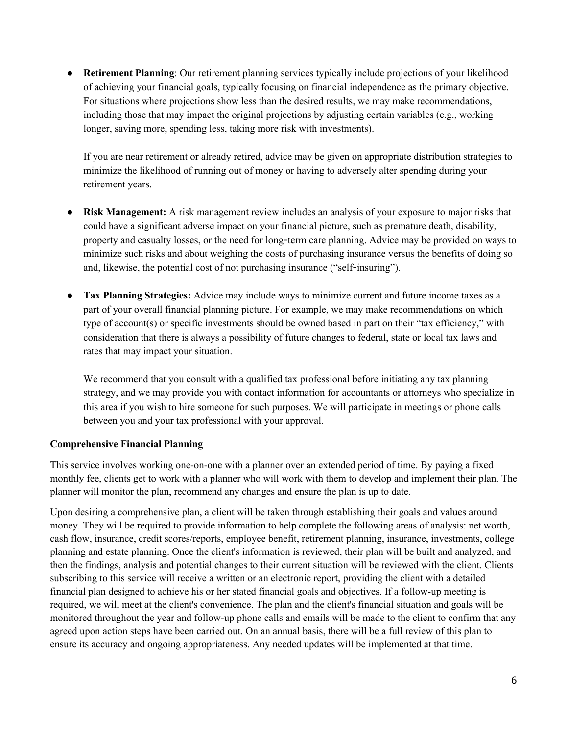● **Retirement Planning**: Our retirement planning services typically include projections of your likelihood of achieving your financial goals, typically focusing on financial independence as the primary objective. For situations where projections show less than the desired results, we may make recommendations, including those that may impact the original projections by adjusting certain variables (e.g., working longer, saving more, spending less, taking more risk with investments).

If you are near retirement or already retired, advice may be given on appropriate distribution strategies to minimize the likelihood of running out of money or having to adversely alter spending during your retirement years.

- **Risk Management:** A risk management review includes an analysis of your exposure to major risks that could have a significant adverse impact on your financial picture, such as premature death, disability, property and casualty losses, or the need for long-term care planning. Advice may be provided on ways to minimize such risks and about weighing the costs of purchasing insurance versus the benefits of doing so and, likewise, the potential cost of not purchasing insurance ("self-insuring").
- **Tax Planning Strategies:** Advice may include ways to minimize current and future income taxes as a part of your overall financial planning picture. For example, we may make recommendations on which type of account(s) or specific investments should be owned based in part on their "tax efficiency," with consideration that there is always a possibility of future changes to federal, state or local tax laws and rates that may impact your situation.

We recommend that you consult with a qualified tax professional before initiating any tax planning strategy, and we may provide you with contact information for accountants or attorneys who specialize in this area if you wish to hire someone for such purposes. We will participate in meetings or phone calls between you and your tax professional with your approval.

#### **Comprehensive Financial Planning**

This service involves working one-on-one with a planner over an extended period of time. By paying a fixed monthly fee, clients get to work with a planner who will work with them to develop and implement their plan. The planner will monitor the plan, recommend any changes and ensure the plan is up to date.

Upon desiring a comprehensive plan, a client will be taken through establishing their goals and values around money. They will be required to provide information to help complete the following areas of analysis: net worth, cash flow, insurance, credit scores/reports, employee benefit, retirement planning, insurance, investments, college planning and estate planning. Once the client's information is reviewed, their plan will be built and analyzed, and then the findings, analysis and potential changes to their current situation will be reviewed with the client. Clients subscribing to this service will receive a written or an electronic report, providing the client with a detailed financial plan designed to achieve his or her stated financial goals and objectives. If a follow-up meeting is required, we will meet at the client's convenience. The plan and the client's financial situation and goals will be monitored throughout the year and follow-up phone calls and emails will be made to the client to confirm that any agreed upon action steps have been carried out. On an annual basis, there will be a full review of this plan to ensure its accuracy and ongoing appropriateness. Any needed updates will be implemented at that time.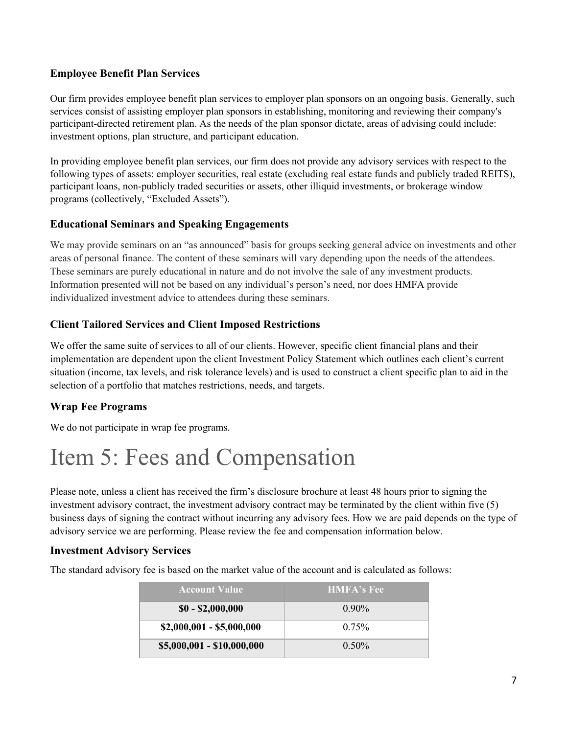#### **Employee Benefit Plan Services**

Our firm provides employee benefit plan services to employer plan sponsors on an ongoing basis. Generally, such services consist of assisting employer plan sponsors in establishing, monitoring and reviewing their company's participant-directed retirement plan. As the needs of the plan sponsor dictate, areas of advising could include: investment options, plan structure, and participant education.

In providing employee benefit plan services, our firm does not provide any advisory services with respect to the following types of assets: employer securities, real estate (excluding real estate funds and publicly traded REITS), participant loans, non-publicly traded securities or assets, other illiquid investments, or brokerage window programs (collectively, "Excluded Assets").

#### **Educational Seminars and Speaking Engagements**

We may provide seminars on an "as announced" basis for groups seeking general advice on investments and other areas of personal finance. The content of these seminars will vary depending upon the needs of the attendees. These seminars are purely educational in nature and do not involve the sale of any investment products. Information presented will not be based on any individual's person's need, nor does HMFA provide individualized investment advice to attendees during these seminars.

#### **Client Tailored Services and Client Imposed Restrictions**

We offer the same suite of services to all of our clients. However, specific client financial plans and their implementation are dependent upon the client Investment Policy Statement which outlines each client's current situation (income, tax levels, and risk tolerance levels) and is used to construct a client specific plan to aid in the selection of a portfolio that matches restrictions, needs, and targets.

#### **Wrap Fee Programs**

We do not participate in wrap fee programs.

## <span id="page-6-0"></span>Item 5: Fees and Compensation

Please note, unless a client has received the firm's disclosure brochure at least 48 hours prior to signing the investment advisory contract, the investment advisory contract may be terminated by the client within five (5) business days of signing the contract without incurring any advisory fees. How we are paid depends on the type of advisory service we are performing. Please review the fee and compensation information below.

#### **Investment Advisory Services**

The standard advisory fee is based on the market value of the account and is calculated as follows:

| <b>Account Value</b>       | <b>HMFA's Fee</b> |
|----------------------------|-------------------|
| $$0 - $2,000,000$          | $0.90\%$          |
| $$2,000,001 - $5,000,000$  | $0.75\%$          |
| \$5,000,001 - \$10,000,000 | $0.50\%$          |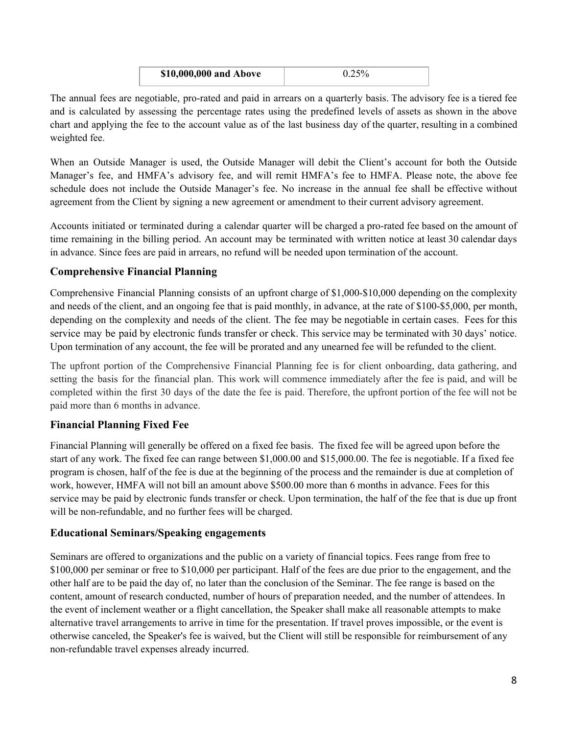| \$10,000,000 and Above |  |
|------------------------|--|
|                        |  |

The annual fees are negotiable, pro-rated and paid in arrears on a quarterly basis. The advisory fee is a tiered fee and is calculated by assessing the percentage rates using the predefined levels of assets as shown in the above chart and applying the fee to the account value as of the last business day of the quarter, resulting in a combined weighted fee.

When an Outside Manager is used, the Outside Manager will debit the Client's account for both the Outside Manager's fee, and HMFA's advisory fee, and will remit HMFA's fee to HMFA. Please note, the above fee schedule does not include the Outside Manager's fee. No increase in the annual fee shall be effective without agreement from the Client by signing a new agreement or amendment to their current advisory agreement.

Accounts initiated or terminated during a calendar quarter will be charged a pro-rated fee based on the amount of time remaining in the billing period. An account may be terminated with written notice at least 30 calendar days in advance. Since fees are paid in arrears, no refund will be needed upon termination of the account.

#### **Comprehensive Financial Planning**

Comprehensive Financial Planning consists of an upfront charge of \$1,000-\$10,000 depending on the complexity and needs of the client, and an ongoing fee that is paid monthly, in advance, at the rate of \$100-\$5,000, per month, depending on the complexity and needs of the client. The fee may be negotiable in certain cases. Fees for this service may be paid by electronic funds transfer or check. This service may be terminated with 30 days' notice. Upon termination of any account, the fee will be prorated and any unearned fee will be refunded to the client.

The upfront portion of the Comprehensive Financial Planning fee is for client onboarding, data gathering, and setting the basis for the financial plan. This work will commence immediately after the fee is paid, and will be completed within the first 30 days of the date the fee is paid. Therefore, the upfront portion of the fee will not be paid more than 6 months in advance.

#### **Financial Planning Fixed Fee**

Financial Planning will generally be offered on a fixed fee basis. The fixed fee will be agreed upon before the start of any work. The fixed fee can range between \$1,000.00 and \$15,000.00. The fee is negotiable. If a fixed fee program is chosen, half of the fee is due at the beginning of the process and the remainder is due at completion of work, however, HMFA will not bill an amount above \$500.00 more than 6 months in advance. Fees for this service may be paid by electronic funds transfer or check. Upon termination, the half of the fee that is due up front will be non-refundable, and no further fees will be charged.

#### **Educational Seminars/Speaking engagements**

Seminars are offered to organizations and the public on a variety of financial topics. Fees range from free to \$100,000 per seminar or free to \$10,000 per participant. Half of the fees are due prior to the engagement, and the other half are to be paid the day of, no later than the conclusion of the Seminar. The fee range is based on the content, amount of research conducted, number of hours of preparation needed, and the number of attendees. In the event of inclement weather or a flight cancellation, the Speaker shall make all reasonable attempts to make alternative travel arrangements to arrive in time for the presentation. If travel proves impossible, or the event is otherwise canceled, the Speaker's fee is waived, but the Client will still be responsible for reimbursement of any non-refundable travel expenses already incurred.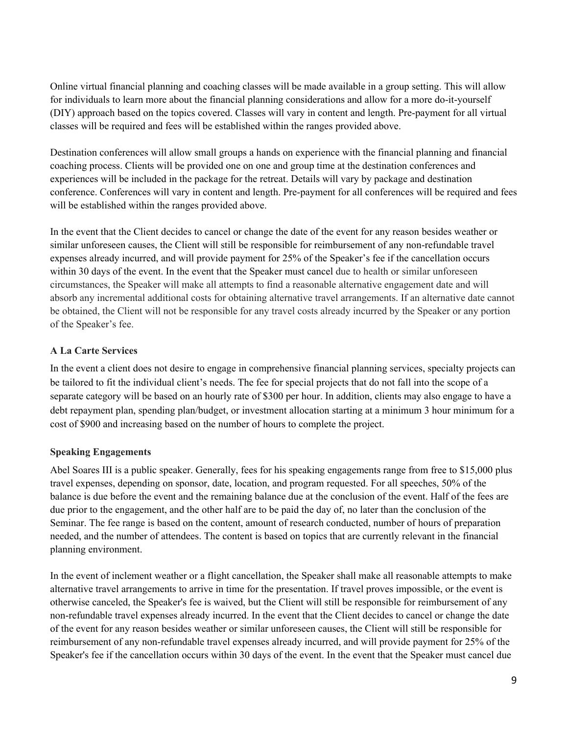Online virtual financial planning and coaching classes will be made available in a group setting. This will allow for individuals to learn more about the financial planning considerations and allow for a more do-it-yourself (DIY) approach based on the topics covered. Classes will vary in content and length. Pre-payment for all virtual classes will be required and fees will be established within the ranges provided above.

Destination conferences will allow small groups a hands on experience with the financial planning and financial coaching process. Clients will be provided one on one and group time at the destination conferences and experiences will be included in the package for the retreat. Details will vary by package and destination conference. Conferences will vary in content and length. Pre-payment for all conferences will be required and fees will be established within the ranges provided above.

In the event that the Client decides to cancel or change the date of the event for any reason besides weather or similar unforeseen causes, the Client will still be responsible for reimbursement of any non-refundable travel expenses already incurred, and will provide payment for 25% of the Speaker's fee if the cancellation occurs within 30 days of the event. In the event that the Speaker must cancel due to health or similar unforeseen circumstances, the Speaker will make all attempts to find a reasonable alternative engagement date and will absorb any incremental additional costs for obtaining alternative travel arrangements. If an alternative date cannot be obtained, the Client will not be responsible for any travel costs already incurred by the Speaker or any portion of the Speaker's fee.

#### **A La Carte Services**

In the event a client does not desire to engage in comprehensive financial planning services, specialty projects can be tailored to fit the individual client's needs. The fee for special projects that do not fall into the scope of a separate category will be based on an hourly rate of \$300 per hour. In addition, clients may also engage to have a debt repayment plan, spending plan/budget, or investment allocation starting at a minimum 3 hour minimum for a cost of \$900 and increasing based on the number of hours to complete the project.

#### **Speaking Engagements**

Abel Soares III is a public speaker. Generally, fees for his speaking engagements range from free to \$15,000 plus travel expenses, depending on sponsor, date, location, and program requested. For all speeches, 50% of the balance is due before the event and the remaining balance due at the conclusion of the event. Half of the fees are due prior to the engagement, and the other half are to be paid the day of, no later than the conclusion of the Seminar. The fee range is based on the content, amount of research conducted, number of hours of preparation needed, and the number of attendees. The content is based on topics that are currently relevant in the financial planning environment.

In the event of inclement weather or a flight cancellation, the Speaker shall make all reasonable attempts to make alternative travel arrangements to arrive in time for the presentation. If travel proves impossible, or the event is otherwise canceled, the Speaker's fee is waived, but the Client will still be responsible for reimbursement of any non-refundable travel expenses already incurred. In the event that the Client decides to cancel or change the date of the event for any reason besides weather or similar unforeseen causes, the Client will still be responsible for reimbursement of any non-refundable travel expenses already incurred, and will provide payment for 25% of the Speaker's fee if the cancellation occurs within 30 days of the event. In the event that the Speaker must cancel due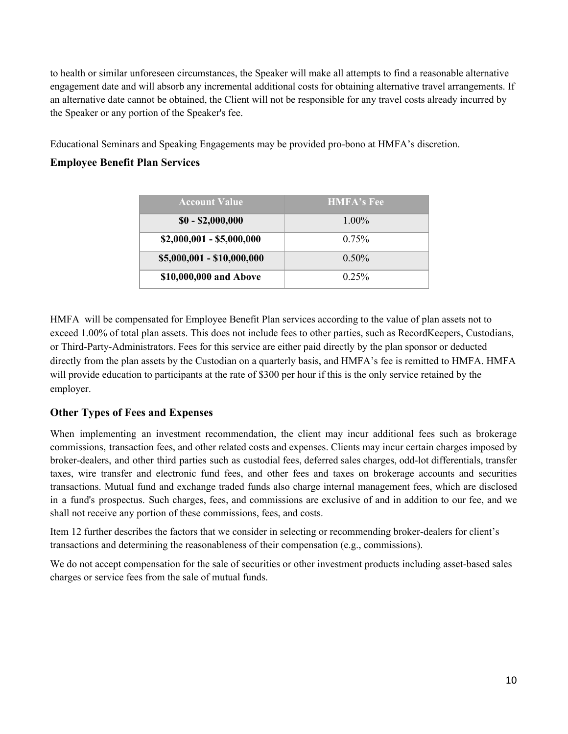to health or similar unforeseen circumstances, the Speaker will make all attempts to find a reasonable alternative engagement date and will absorb any incremental additional costs for obtaining alternative travel arrangements. If an alternative date cannot be obtained, the Client will not be responsible for any travel costs already incurred by the Speaker or any portion of the Speaker's fee.

Educational Seminars and Speaking Engagements may be provided pro-bono at HMFA's discretion.

#### **Employee Benefit Plan Services**

| <b>Account Value</b>       | <b>HMFA's Fee</b> |
|----------------------------|-------------------|
| $$0 - $2,000,000$          | $1.00\%$          |
| $$2,000,001 - $5,000,000$  | $0.75\%$          |
| \$5,000,001 - \$10,000,000 | $0.50\%$          |
| \$10,000,000 and Above     | $0.25\%$          |

HMFA will be compensated for Employee Benefit Plan services according to the value of plan assets not to exceed 1.00% of total plan assets. This does not include fees to other parties, such as RecordKeepers, Custodians, or Third-Party-Administrators. Fees for this service are either paid directly by the plan sponsor or deducted directly from the plan assets by the Custodian on a quarterly basis, and HMFA's fee is remitted to HMFA. HMFA will provide education to participants at the rate of \$300 per hour if this is the only service retained by the employer.

#### **Other Types of Fees and Expenses**

When implementing an investment recommendation, the client may incur additional fees such as brokerage commissions, transaction fees, and other related costs and expenses. Clients may incur certain charges imposed by broker-dealers, and other third parties such as custodial fees, deferred sales charges, odd-lot differentials, transfer taxes, wire transfer and electronic fund fees, and other fees and taxes on brokerage accounts and securities transactions. Mutual fund and exchange traded funds also charge internal management fees, which are disclosed in a fund's prospectus. Such charges, fees, and commissions are exclusive of and in addition to our fee, and we shall not receive any portion of these commissions, fees, and costs.

Item 12 further describes the factors that we consider in selecting or recommending broker-dealers for client's transactions and determining the reasonableness of their compensation (e.g., commissions).

We do not accept compensation for the sale of securities or other investment products including asset-based sales charges or service fees from the sale of mutual funds.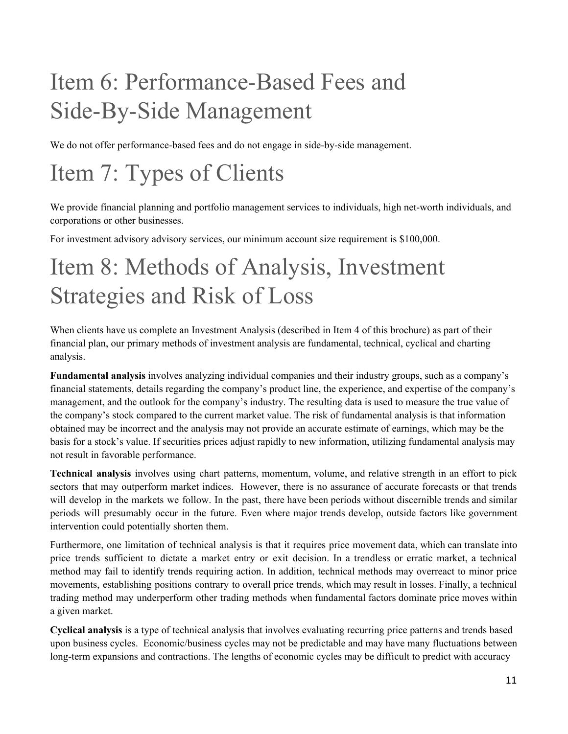# <span id="page-10-0"></span>Item 6: Performance-Based Fees and Side-By-Side Management

We do not offer performance-based fees and do not engage in side-by-side management.

## <span id="page-10-1"></span>Item 7: Types of Clients

We provide financial planning and portfolio management services to individuals, high net-worth individuals, and corporations or other businesses.

For investment advisory advisory services, our minimum account size requirement is \$100,000.

## <span id="page-10-2"></span>Item 8: Methods of Analysis, Investment Strategies and Risk of Loss

When clients have us complete an Investment Analysis (described in Item 4 of this brochure) as part of their financial plan, our primary methods of investment analysis are fundamental, technical, cyclical and charting analysis.

**Fundamental analysis** involves analyzing individual companies and their industry groups, such as a company's financial statements, details regarding the company's product line, the experience, and expertise of the company's management, and the outlook for the company's industry. The resulting data is used to measure the true value of the company's stock compared to the current market value. The risk of fundamental analysis is that information obtained may be incorrect and the analysis may not provide an accurate estimate of earnings, which may be the basis for a stock's value. If securities prices adjust rapidly to new information, utilizing fundamental analysis may not result in favorable performance.

**Technical analysis** involves using chart patterns, momentum, volume, and relative strength in an effort to pick sectors that may outperform market indices. However, there is no assurance of accurate forecasts or that trends will develop in the markets we follow. In the past, there have been periods without discernible trends and similar periods will presumably occur in the future. Even where major trends develop, outside factors like government intervention could potentially shorten them.

Furthermore, one limitation of technical analysis is that it requires price movement data, which can translate into price trends sufficient to dictate a market entry or exit decision. In a trendless or erratic market, a technical method may fail to identify trends requiring action. In addition, technical methods may overreact to minor price movements, establishing positions contrary to overall price trends, which may result in losses. Finally, a technical trading method may underperform other trading methods when fundamental factors dominate price moves within a given market.

**Cyclical analysis** is a type of technical analysis that involves evaluating recurring price patterns and trends based upon business cycles. Economic/business cycles may not be predictable and may have many fluctuations between long-term expansions and contractions. The lengths of economic cycles may be difficult to predict with accuracy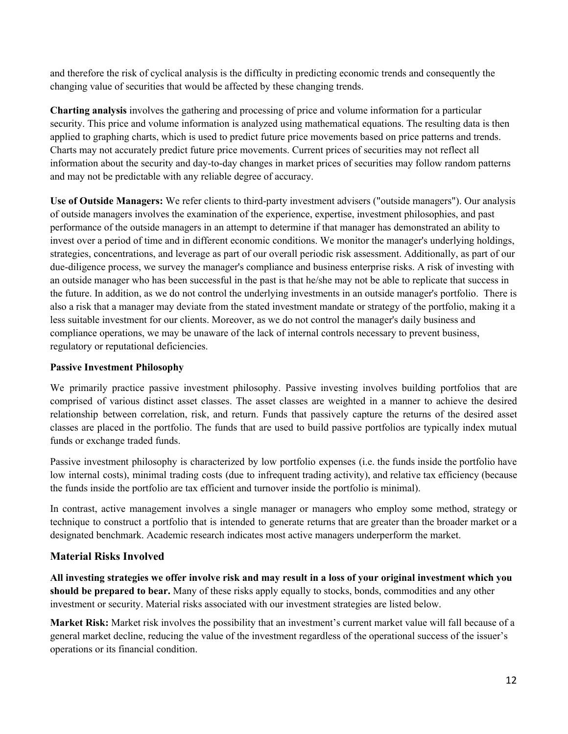and therefore the risk of cyclical analysis is the difficulty in predicting economic trends and consequently the changing value of securities that would be affected by these changing trends.

**Charting analysis** involves the gathering and processing of price and volume information for a particular security. This price and volume information is analyzed using mathematical equations. The resulting data is then applied to graphing charts, which is used to predict future price movements based on price patterns and trends. Charts may not accurately predict future price movements. Current prices of securities may not reflect all information about the security and day-to-day changes in market prices of securities may follow random patterns and may not be predictable with any reliable degree of accuracy.

**Use of Outside Managers:** We refer clients to third-party investment advisers ("outside managers"). Our analysis of outside managers involves the examination of the experience, expertise, investment philosophies, and past performance of the outside managers in an attempt to determine if that manager has demonstrated an ability to invest over a period of time and in different economic conditions. We monitor the manager's underlying holdings, strategies, concentrations, and leverage as part of our overall periodic risk assessment. Additionally, as part of our due-diligence process, we survey the manager's compliance and business enterprise risks. A risk of investing with an outside manager who has been successful in the past is that he/she may not be able to replicate that success in the future. In addition, as we do not control the underlying investments in an outside manager's portfolio. There is also a risk that a manager may deviate from the stated investment mandate or strategy of the portfolio, making it a less suitable investment for our clients. Moreover, as we do not control the manager's daily business and compliance operations, we may be unaware of the lack of internal controls necessary to prevent business, regulatory or reputational deficiencies.

#### **Passive Investment Philosophy**

We primarily practice passive investment philosophy. Passive investing involves building portfolios that are comprised of various distinct asset classes. The asset classes are weighted in a manner to achieve the desired relationship between correlation, risk, and return. Funds that passively capture the returns of the desired asset classes are placed in the portfolio. The funds that are used to build passive portfolios are typically index mutual funds or exchange traded funds.

Passive investment philosophy is characterized by low portfolio expenses (i.e. the funds inside the portfolio have low internal costs), minimal trading costs (due to infrequent trading activity), and relative tax efficiency (because the funds inside the portfolio are tax efficient and turnover inside the portfolio is minimal).

In contrast, active management involves a single manager or managers who employ some method, strategy or technique to construct a portfolio that is intended to generate returns that are greater than the broader market or a designated benchmark. Academic research indicates most active managers underperform the market.

#### **Material Risks Involved**

All investing strategies we offer involve risk and may result in a loss of your original investment which you **should be prepared to bear.** Many of these risks apply equally to stocks, bonds, commodities and any other investment or security. Material risks associated with our investment strategies are listed below.

**Market Risk:** Market risk involves the possibility that an investment's current market value will fall because of a general market decline, reducing the value of the investment regardless of the operational success of the issuer's operations or its financial condition.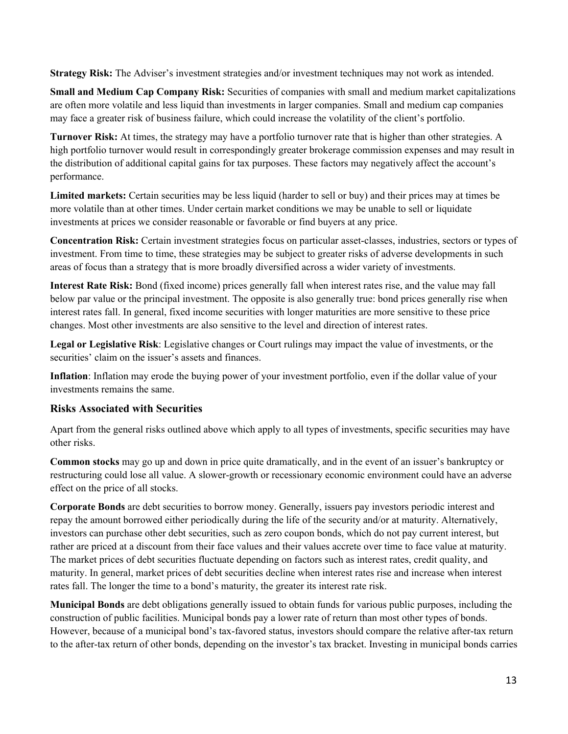**Strategy Risk:** The Adviser's investment strategies and/or investment techniques may not work as intended.

**Small and Medium Cap Company Risk:** Securities of companies with small and medium market capitalizations are often more volatile and less liquid than investments in larger companies. Small and medium cap companies may face a greater risk of business failure, which could increase the volatility of the client's portfolio.

**Turnover Risk:** At times, the strategy may have a portfolio turnover rate that is higher than other strategies. A high portfolio turnover would result in correspondingly greater brokerage commission expenses and may result in the distribution of additional capital gains for tax purposes. These factors may negatively affect the account's performance.

**Limited markets:** Certain securities may be less liquid (harder to sell or buy) and their prices may at times be more volatile than at other times. Under certain market conditions we may be unable to sell or liquidate investments at prices we consider reasonable or favorable or find buyers at any price.

**Concentration Risk:** Certain investment strategies focus on particular asset-classes, industries, sectors or types of investment. From time to time, these strategies may be subject to greater risks of adverse developments in such areas of focus than a strategy that is more broadly diversified across a wider variety of investments.

**Interest Rate Risk:** Bond (fixed income) prices generally fall when interest rates rise, and the value may fall below par value or the principal investment. The opposite is also generally true: bond prices generally rise when interest rates fall. In general, fixed income securities with longer maturities are more sensitive to these price changes. Most other investments are also sensitive to the level and direction of interest rates.

**Legal or Legislative Risk**: Legislative changes or Court rulings may impact the value of investments, or the securities' claim on the issuer's assets and finances.

**Inflation**: Inflation may erode the buying power of your investment portfolio, even if the dollar value of your investments remains the same.

#### **Risks Associated with Securities**

Apart from the general risks outlined above which apply to all types of investments, specific securities may have other risks.

**Common stocks** may go up and down in price quite dramatically, and in the event of an issuer's bankruptcy or restructuring could lose all value. A slower-growth or recessionary economic environment could have an adverse effect on the price of all stocks.

**Corporate Bonds** are debt securities to borrow money. Generally, issuers pay investors periodic interest and repay the amount borrowed either periodically during the life of the security and/or at maturity. Alternatively, investors can purchase other debt securities, such as zero coupon bonds, which do not pay current interest, but rather are priced at a discount from their face values and their values accrete over time to face value at maturity. The market prices of debt securities fluctuate depending on factors such as interest rates, credit quality, and maturity. In general, market prices of debt securities decline when interest rates rise and increase when interest rates fall. The longer the time to a bond's maturity, the greater its interest rate risk.

**Municipal Bonds** are debt obligations generally issued to obtain funds for various public purposes, including the construction of public facilities. Municipal bonds pay a lower rate of return than most other types of bonds. However, because of a municipal bond's tax-favored status, investors should compare the relative after-tax return to the after-tax return of other bonds, depending on the investor's tax bracket. Investing in municipal bonds carries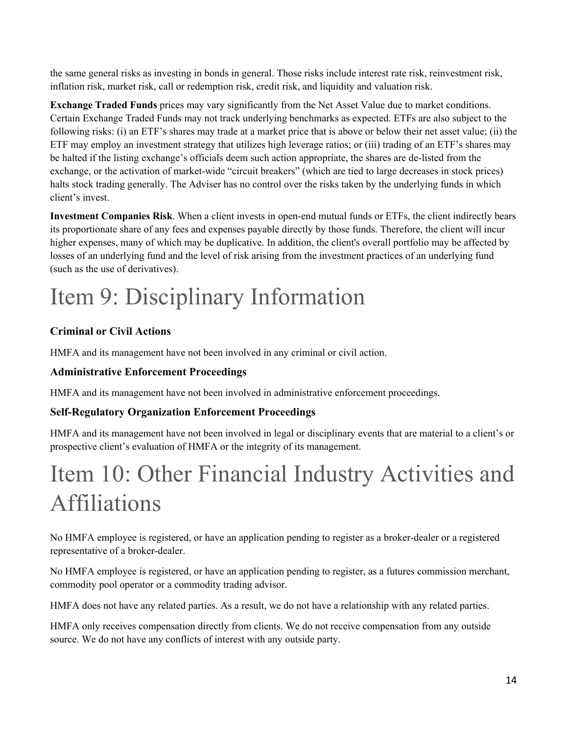the same general risks as investing in bonds in general. Those risks include interest rate risk, reinvestment risk, inflation risk, market risk, call or redemption risk, credit risk, and liquidity and valuation risk.

**Exchange Traded Funds** prices may vary significantly from the Net Asset Value due to market conditions. Certain Exchange Traded Funds may not track underlying benchmarks as expected. ETFs are also subject to the following risks: (i) an ETF's shares may trade at a market price that is above or below their net asset value; (ii) the ETF may employ an investment strategy that utilizes high leverage ratios; or (iii) trading of an ETF's shares may be halted if the listing exchange's officials deem such action appropriate, the shares are de-listed from the exchange, or the activation of market-wide "circuit breakers" (which are tied to large decreases in stock prices) halts stock trading generally. The Adviser has no control over the risks taken by the underlying funds in which client's invest.

**Investment Companies Risk**. When a client invests in open-end mutual funds or ETFs, the client indirectly bears its proportionate share of any fees and expenses payable directly by those funds. Therefore, the client will incur higher expenses, many of which may be duplicative. In addition, the client's overall portfolio may be affected by losses of an underlying fund and the level of risk arising from the investment practices of an underlying fund (such as the use of derivatives).

# Item 9: Disciplinary Information

### **Criminal or Civil Actions**

HMFA and its management have not been involved in any criminal or civil action.

#### **Administrative Enforcement Proceedings**

HMFA and its management have not been involved in administrative enforcement proceedings.

### **Self-Regulatory Organization Enforcement Proceedings**

HMFA and its management have not been involved in legal or disciplinary events that are material to a client's or prospective client's evaluation of HMFA or the integrity of its management.

## <span id="page-13-0"></span>Item 10: Other Financial Industry Activities and Affiliations

No HMFA employee is registered, or have an application pending to register as a broker-dealer or a registered representative of a broker-dealer.

No HMFA employee is registered, or have an application pending to register, as a futures commission merchant, commodity pool operator or a commodity trading advisor.

HMFA does not have any related parties. As a result, we do not have a relationship with any related parties.

HMFA only receives compensation directly from clients. We do not receive compensation from any outside source. We do not have any conflicts of interest with any outside party.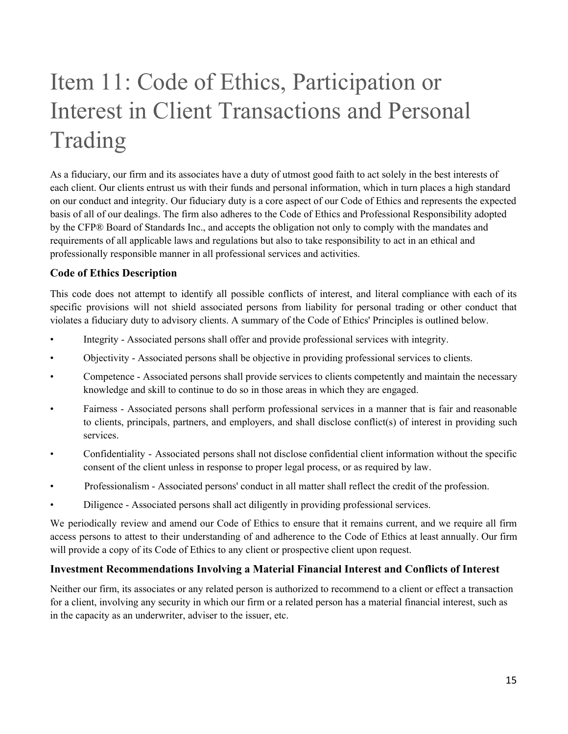# <span id="page-14-0"></span>Item 11: Code of Ethics, Participation or Interest in Client Transactions and Personal Trading

As a fiduciary, our firm and its associates have a duty of utmost good faith to act solely in the best interests of each client. Our clients entrust us with their funds and personal information, which in turn places a high standard on our conduct and integrity. Our fiduciary duty is a core aspect of our Code of Ethics and represents the expected basis of all of our dealings. The firm also adheres to the Code of Ethics and Professional Responsibility adopted by the CFP® Board of Standards Inc., and accepts the obligation not only to comply with the mandates and requirements of all applicable laws and regulations but also to take responsibility to act in an ethical and professionally responsible manner in all professional services and activities.

#### **Code of Ethics Description**

This code does not attempt to identify all possible conflicts of interest, and literal compliance with each of its specific provisions will not shield associated persons from liability for personal trading or other conduct that violates a fiduciary duty to advisory clients. A summary of the Code of Ethics' Principles is outlined below.

- Integrity Associated persons shall offer and provide professional services with integrity.
- Objectivity Associated persons shall be objective in providing professional services to clients.
- Competence Associated persons shall provide services to clients competently and maintain the necessary knowledge and skill to continue to do so in those areas in which they are engaged.
- Fairness Associated persons shall perform professional services in a manner that is fair and reasonable to clients, principals, partners, and employers, and shall disclose conflict(s) of interest in providing such services.
- Confidentiality Associated persons shall not disclose confidential client information without the specific consent of the client unless in response to proper legal process, or as required by law.
- Professionalism Associated persons' conduct in all matter shall reflect the credit of the profession.
- Diligence Associated persons shall act diligently in providing professional services.

We periodically review and amend our Code of Ethics to ensure that it remains current, and we require all firm access persons to attest to their understanding of and adherence to the Code of Ethics at least annually. Our firm will provide a copy of its Code of Ethics to any client or prospective client upon request.

#### **Investment Recommendations Involving a Material Financial Interest and Conflicts of Interest**

Neither our firm, its associates or any related person is authorized to recommend to a client or effect a transaction for a client, involving any security in which our firm or a related person has a material financial interest, such as in the capacity as an underwriter, adviser to the issuer, etc.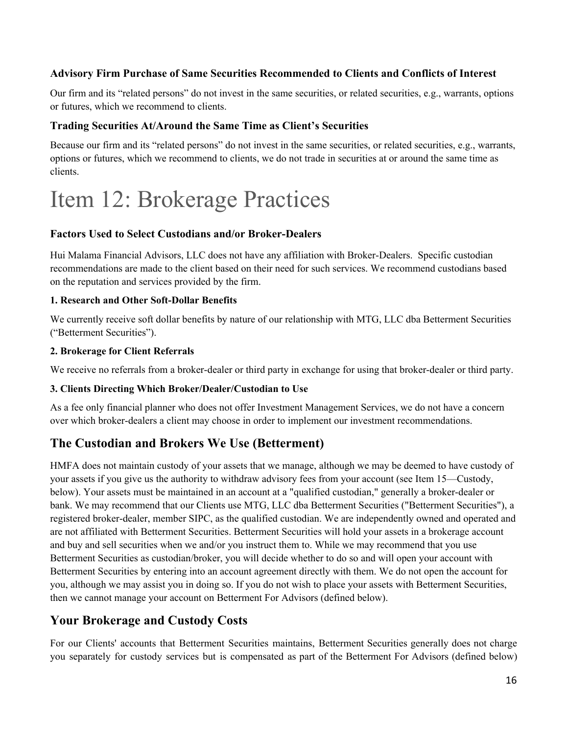#### **Advisory Firm Purchase of Same Securities Recommended to Clients and Conflicts of Interest**

Our firm and its "related persons" do not invest in the same securities, or related securities, e.g., warrants, options or futures, which we recommend to clients.

#### **Trading Securities At/Around the Same Time as Client's Securities**

Because our firm and its "related persons" do not invest in the same securities, or related securities, e.g., warrants, options or futures, which we recommend to clients, we do not trade in securities at or around the same time as clients.

## <span id="page-15-0"></span>Item 12: Brokerage Practices

#### **Factors Used to Select Custodians and/or Broker-Dealers**

Hui Malama Financial Advisors, LLC does not have any affiliation with Broker-Dealers. Specific custodian recommendations are made to the client based on their need for such services. We recommend custodians based on the reputation and services provided by the firm.

#### **1. Research and Other Soft-Dollar Benefits**

We currently receive soft dollar benefits by nature of our relationship with MTG, LLC dba Betterment Securities ("Betterment Securities").

#### **2. Brokerage for Client Referrals**

We receive no referrals from a broker-dealer or third party in exchange for using that broker-dealer or third party.

#### **3. Clients Directing Which Broker/Dealer/Custodian to Use**

As a fee only financial planner who does not offer Investment Management Services, we do not have a concern over which broker-dealers a client may choose in order to implement our investment recommendations.

### **The Custodian and Brokers We Use (Betterment)**

HMFA does not maintain custody of your assets that we manage, although we may be deemed to have custody of your assets if you give us the authority to withdraw advisory fees from your account (see Item 15—Custody, below). Your assets must be maintained in an account at a "qualified custodian," generally a broker-dealer or bank. We may recommend that our Clients use MTG, LLC dba Betterment Securities ("Betterment Securities"), a registered broker-dealer, member SIPC, as the qualified custodian. We are independently owned and operated and are not affiliated with Betterment Securities. Betterment Securities will hold your assets in a brokerage account and buy and sell securities when we and/or you instruct them to. While we may recommend that you use Betterment Securities as custodian/broker, you will decide whether to do so and will open your account with Betterment Securities by entering into an account agreement directly with them. We do not open the account for you, although we may assist you in doing so. If you do not wish to place your assets with Betterment Securities, then we cannot manage your account on Betterment For Advisors (defined below).

### **Your Brokerage and Custody Costs**

For our Clients' accounts that Betterment Securities maintains, Betterment Securities generally does not charge you separately for custody services but is compensated as part of the Betterment For Advisors (defined below)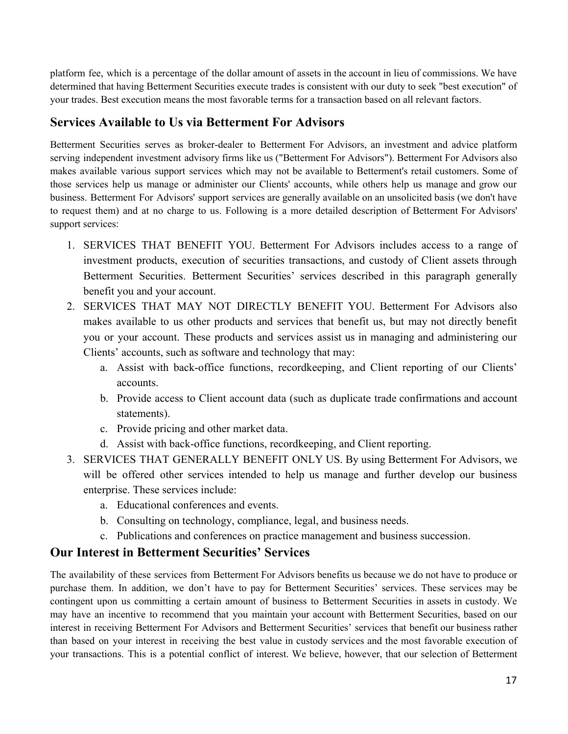platform fee, which is a percentage of the dollar amount of assets in the account in lieu of commissions. We have determined that having Betterment Securities execute trades is consistent with our duty to seek "best execution" of your trades. Best execution means the most favorable terms for a transaction based on all relevant factors.

### **Services Available to Us via Betterment For Advisors**

Betterment Securities serves as broker-dealer to Betterment For Advisors, an investment and advice platform serving independent investment advisory firms like us ("Betterment For Advisors"). Betterment For Advisors also makes available various support services which may not be available to Betterment's retail customers. Some of those services help us manage or administer our Clients' accounts, while others help us manage and grow our business. Betterment For Advisors' support services are generally available on an unsolicited basis (we don't have to request them) and at no charge to us. Following is a more detailed description of Betterment For Advisors' support services:

- 1. SERVICES THAT BENEFIT YOU. Betterment For Advisors includes access to a range of investment products, execution of securities transactions, and custody of Client assets through Betterment Securities. Betterment Securities' services described in this paragraph generally benefit you and your account.
- 2. SERVICES THAT MAY NOT DIRECTLY BENEFIT YOU. Betterment For Advisors also makes available to us other products and services that benefit us, but may not directly benefit you or your account. These products and services assist us in managing and administering our Clients' accounts, such as software and technology that may:
	- a. Assist with back-office functions, recordkeeping, and Client reporting of our Clients' accounts.
	- b. Provide access to Client account data (such as duplicate trade confirmations and account statements).
	- c. Provide pricing and other market data.
	- d. Assist with back-office functions, recordkeeping, and Client reporting.
- 3. SERVICES THAT GENERALLY BENEFIT ONLY US. By using Betterment For Advisors, we will be offered other services intended to help us manage and further develop our business enterprise. These services include:
	- a. Educational conferences and events.
	- b. Consulting on technology, compliance, legal, and business needs.
	- c. Publications and conferences on practice management and business succession.

### **Our Interest in Betterment Securities' Services**

The availability of these services from Betterment For Advisors benefits us because we do not have to produce or purchase them. In addition, we don't have to pay for Betterment Securities' services. These services may be contingent upon us committing a certain amount of business to Betterment Securities in assets in custody. We may have an incentive to recommend that you maintain your account with Betterment Securities, based on our interest in receiving Betterment For Advisors and Betterment Securities' services that benefit our business rather than based on your interest in receiving the best value in custody services and the most favorable execution of your transactions. This is a potential conflict of interest. We believe, however, that our selection of Betterment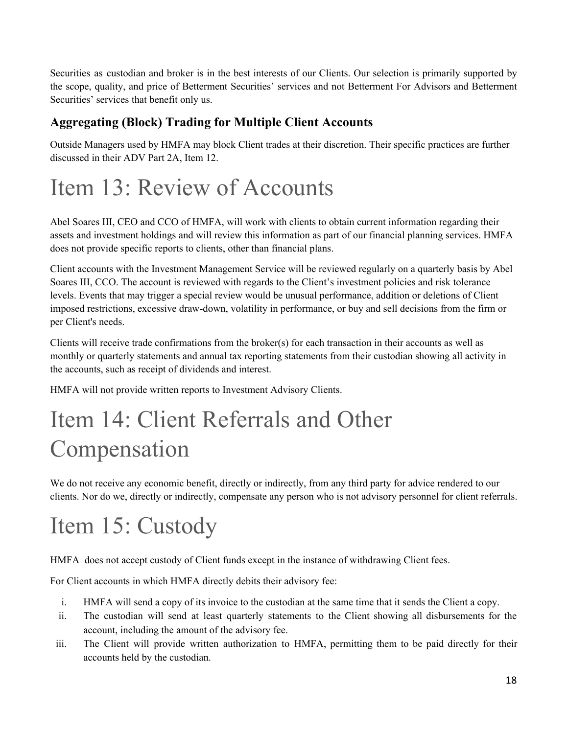Securities as custodian and broker is in the best interests of our Clients. Our selection is primarily supported by the scope, quality, and price of Betterment Securities' services and not Betterment For Advisors and Betterment Securities' services that benefit only us.

### **Aggregating (Block) Trading for Multiple Client Accounts**

Outside Managers used by HMFA may block Client trades at their discretion. Their specific practices are further discussed in their ADV Part 2A, Item 12.

## <span id="page-17-0"></span>Item 13: Review of Accounts

Abel Soares III, CEO and CCO of HMFA, will work with clients to obtain current information regarding their assets and investment holdings and will review this information as part of our financial planning services. HMFA does not provide specific reports to clients, other than financial plans.

Client accounts with the Investment Management Service will be reviewed regularly on a quarterly basis by Abel Soares III, CCO. The account is reviewed with regards to the Client's investment policies and risk tolerance levels. Events that may trigger a special review would be unusual performance, addition or deletions of Client imposed restrictions, excessive draw-down, volatility in performance, or buy and sell decisions from the firm or per Client's needs.

Clients will receive trade confirmations from the broker(s) for each transaction in their accounts as well as monthly or quarterly statements and annual tax reporting statements from their custodian showing all activity in the accounts, such as receipt of dividends and interest.

HMFA will not provide written reports to Investment Advisory Clients.

## <span id="page-17-1"></span>Item 14: Client Referrals and Other Compensation

We do not receive any economic benefit, directly or indirectly, from any third party for advice rendered to our clients. Nor do we, directly or indirectly, compensate any person who is not advisory personnel for client referrals.

## <span id="page-17-2"></span>Item 15: Custody

HMFA does not accept custody of Client funds except in the instance of withdrawing Client fees.

For Client accounts in which HMFA directly debits their advisory fee:

- i. HMFA will send a copy of its invoice to the custodian at the same time that it sends the Client a copy.
- ii. The custodian will send at least quarterly statements to the Client showing all disbursements for the account, including the amount of the advisory fee.
- iii. The Client will provide written authorization to HMFA, permitting them to be paid directly for their accounts held by the custodian.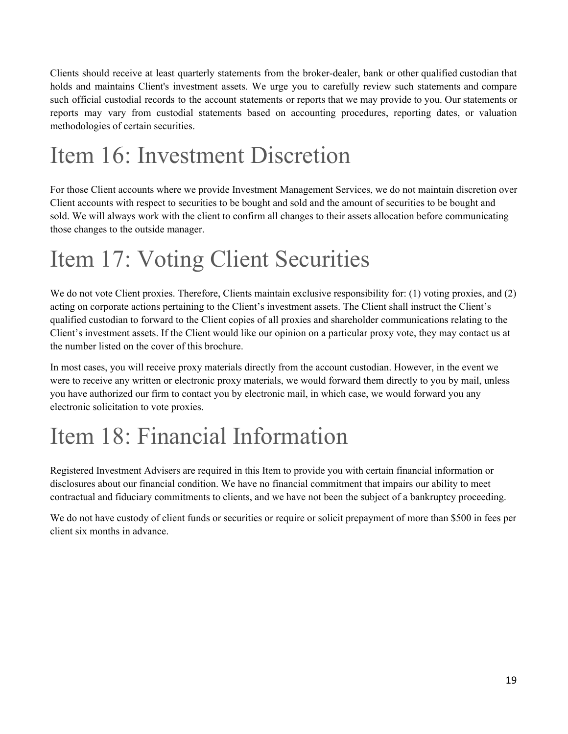Clients should receive at least quarterly statements from the broker-dealer, bank or other qualified custodian that holds and maintains Client's investment assets. We urge you to carefully review such statements and compare such official custodial records to the account statements or reports that we may provide to you. Our statements or reports may vary from custodial statements based on accounting procedures, reporting dates, or valuation methodologies of certain securities.

# <span id="page-18-0"></span>Item 16: Investment Discretion

For those Client accounts where we provide Investment Management Services, we do not maintain discretion over Client accounts with respect to securities to be bought and sold and the amount of securities to be bought and sold. We will always work with the client to confirm all changes to their assets allocation before communicating those changes to the outside manager.

# <span id="page-18-1"></span>Item 17: Voting Client Securities

We do not vote Client proxies. Therefore, Clients maintain exclusive responsibility for: (1) voting proxies, and (2) acting on corporate actions pertaining to the Client's investment assets. The Client shall instruct the Client's qualified custodian to forward to the Client copies of all proxies and shareholder communications relating to the Client's investment assets. If the Client would like our opinion on a particular proxy vote, they may contact us at the number listed on the cover of this brochure.

In most cases, you will receive proxy materials directly from the account custodian. However, in the event we were to receive any written or electronic proxy materials, we would forward them directly to you by mail, unless you have authorized our firm to contact you by electronic mail, in which case, we would forward you any electronic solicitation to vote proxies.

## <span id="page-18-2"></span>Item 18: Financial Information

Registered Investment Advisers are required in this Item to provide you with certain financial information or disclosures about our financial condition. We have no financial commitment that impairs our ability to meet contractual and fiduciary commitments to clients, and we have not been the subject of a bankruptcy proceeding.

We do not have custody of client funds or securities or require or solicit prepayment of more than \$500 in fees per client six months in advance.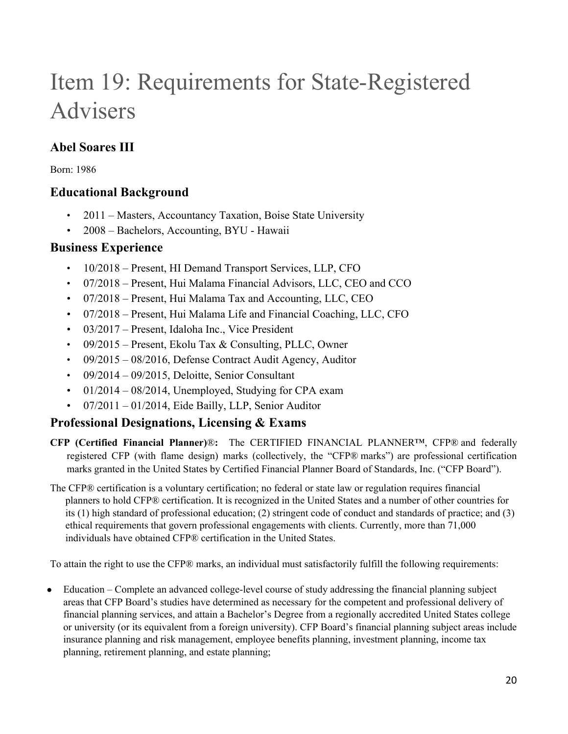# <span id="page-19-0"></span>Item 19: Requirements for State-Registered Advisers

## **Abel Soares III**

Born: 1986

### **Educational Background**

- 2011 Masters, Accountancy Taxation, Boise State University
- 2008 Bachelors, Accounting, BYU Hawaii

### **Business Experience**

- 10/2018 Present, HI Demand Transport Services, LLP, CFO
- 07/2018 Present, Hui Malama Financial Advisors, LLC, CEO and CCO
- 07/2018 Present, Hui Malama Tax and Accounting, LLC, CEO
- 07/2018 Present, Hui Malama Life and Financial Coaching, LLC, CFO
- 03/2017 Present, Idaloha Inc., Vice President
- 09/2015 Present, Ekolu Tax & Consulting, PLLC, Owner
- 09/2015 08/2016, Defense Contract Audit Agency, Auditor
- $\cdot$  09/2014 09/2015, Deloitte, Senior Consultant
- $\cdot$  01/2014 08/2014, Unemployed, Studying for CPA exam
- $07/2011 01/2014$ , Eide Bailly, LLP, Senior Auditor

### **Professional Designations, Licensing & Exams**

- **CFP (Certified Financial Planner)**®**:** The CERTIFIED FINANCIAL PLANNER™, CFP® and federally registered CFP (with flame design) marks (collectively, the "CFP® marks") are professional certification marks granted in the United States by Certified Financial Planner Board of Standards, Inc. ("CFP Board").
- The CFP® certification is a voluntary certification; no federal or state law or regulation requires financial planners to hold CFP® certification. It is recognized in the United States and a number of other countries for its (1) high standard of professional education; (2) stringent code of conduct and standards of practice; and (3) ethical requirements that govern professional engagements with clients. Currently, more than 71,000 individuals have obtained CFP® certification in the United States.

To attain the right to use the CFP® marks, an individual must satisfactorily fulfill the following requirements:

• Education – Complete an advanced college-level course of study addressing the financial planning subject areas that CFP Board's studies have determined as necessary for the competent and professional delivery of financial planning services, and attain a Bachelor's Degree from a regionally accredited United States college or university (or its equivalent from a foreign university). CFP Board's financial planning subject areas include insurance planning and risk management, employee benefits planning, investment planning, income tax planning, retirement planning, and estate planning;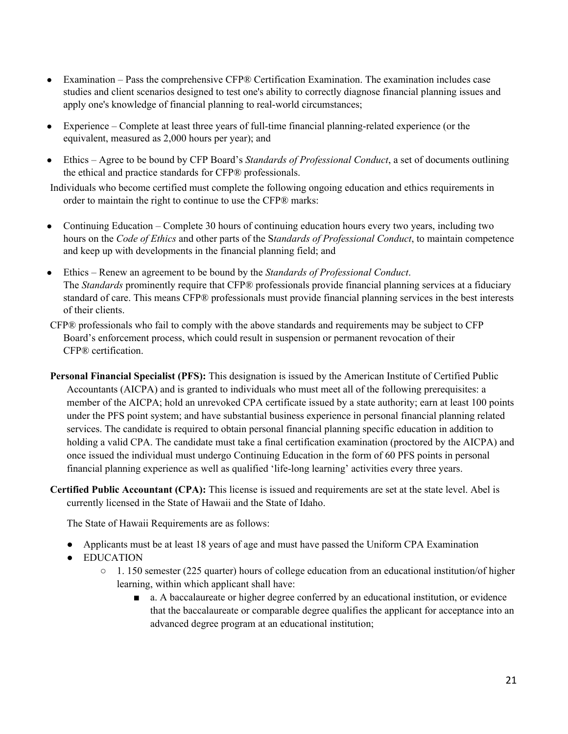- Examination Pass the comprehensive CFP® Certification Examination. The examination includes case studies and client scenarios designed to test one's ability to correctly diagnose financial planning issues and apply one's knowledge of financial planning to real-world circumstances;
- Experience Complete at least three years of full-time financial planning-related experience (or the equivalent, measured as 2,000 hours per year); and
- Ethics Agree to be bound by CFP Board's *Standards of Professional Conduct*, a set of documents outlining the ethical and practice standards for CFP® professionals.

Individuals who become certified must complete the following ongoing education and ethics requirements in order to maintain the right to continue to use the CFP® marks:

- Continuing Education Complete 30 hours of continuing education hours every two years, including two hours on the *Code of Ethics* and other parts of the S*tandards of Professional Conduct*, to maintain competence and keep up with developments in the financial planning field; and
- Ethics Renew an agreement to be bound by the *Standards of Professional Conduct*. The *Standards* prominently require that CFP® professionals provide financial planning services at a fiduciary standard of care. This means CFP® professionals must provide financial planning services in the best interests of their clients.
- CFP® professionals who fail to comply with the above standards and requirements may be subject to CFP Board's enforcement process, which could result in suspension or permanent revocation of their CFP® certification.
- **Personal Financial Specialist (PFS):** This designation is issued by the American Institute of Certified Public Accountants (AICPA) and is granted to individuals who must meet all of the following prerequisites: a member of the AICPA; hold an unrevoked CPA certificate issued by a state authority; earn at least 100 points under the PFS point system; and have substantial business experience in personal financial planning related services. The candidate is required to obtain personal financial planning specific education in addition to holding a valid CPA. The candidate must take a final certification examination (proctored by the AICPA) and once issued the individual must undergo Continuing Education in the form of 60 PFS points in personal financial planning experience as well as qualified 'life-long learning' activities every three years.
- **Certified Public Accountant (CPA):** This license is issued and requirements are set at the state level. Abel is currently licensed in the State of Hawaii and the State of Idaho.

The State of Hawaii Requirements are as follows:

- Applicants must be at least 18 years of age and must have passed the Uniform CPA Examination
- EDUCATION
	- 1. 150 semester (225 quarter) hours of college education from an educational institution/of higher learning, within which applicant shall have:
		- a. A baccalaureate or higher degree conferred by an educational institution, or evidence that the baccalaureate or comparable degree qualifies the applicant for acceptance into an advanced degree program at an educational institution;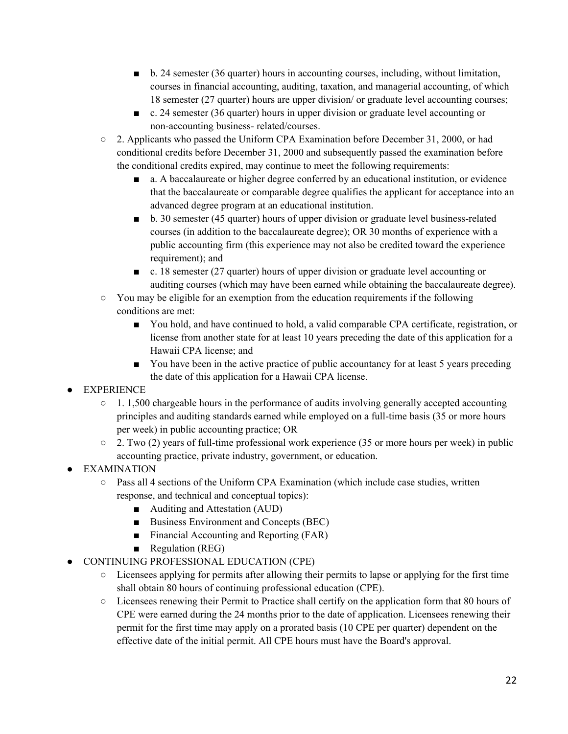- b. 24 semester (36 quarter) hours in accounting courses, including, without limitation, courses in financial accounting, auditing, taxation, and managerial accounting, of which 18 semester (27 quarter) hours are upper division/ or graduate level accounting courses;
- c. 24 semester (36 quarter) hours in upper division or graduate level accounting or non-accounting business- related/courses.
- $\circ$  2. Applicants who passed the Uniform CPA Examination before December 31, 2000, or had conditional credits before December 31, 2000 and subsequently passed the examination before the conditional credits expired, may continue to meet the following requirements:
	- a. A baccalaureate or higher degree conferred by an educational institution, or evidence that the baccalaureate or comparable degree qualifies the applicant for acceptance into an advanced degree program at an educational institution.
	- b. 30 semester (45 quarter) hours of upper division or graduate level business-related courses (in addition to the baccalaureate degree); OR 30 months of experience with a public accounting firm (this experience may not also be credited toward the experience requirement); and
	- c. 18 semester (27 quarter) hours of upper division or graduate level accounting or auditing courses (which may have been earned while obtaining the baccalaureate degree).
- $\circ$  You may be eligible for an exemption from the education requirements if the following conditions are met:
	- You hold, and have continued to hold, a valid comparable CPA certificate, registration, or license from another state for at least 10 years preceding the date of this application for a Hawaii CPA license; and
	- You have been in the active practice of public accountancy for at least 5 years preceding the date of this application for a Hawaii CPA license.
- **EXPERIENCE** 
	- $\circ$  1. 1,500 chargeable hours in the performance of audits involving generally accepted accounting principles and auditing standards earned while employed on a full-time basis (35 or more hours per week) in public accounting practice; OR
	- 2. Two (2) years of full-time professional work experience (35 or more hours per week) in public accounting practice, private industry, government, or education.
- EXAMINATION
	- Pass all 4 sections of the Uniform CPA Examination (which include case studies, written response, and technical and conceptual topics):
		- Auditing and Attestation (AUD)
		- Business Environment and Concepts (BEC)
		- Financial Accounting and Reporting (FAR)
		- Regulation (REG)
- CONTINUING PROFESSIONAL EDUCATION (CPE)
	- Licensees applying for permits after allowing their permits to lapse or applying for the first time shall obtain 80 hours of continuing professional education (CPE).
	- Licensees renewing their Permit to Practice shall certify on the application form that 80 hours of CPE were earned during the 24 months prior to the date of application. Licensees renewing their permit for the first time may apply on a prorated basis (10 CPE per quarter) dependent on the effective date of the initial permit. All CPE hours must have the Board's approval.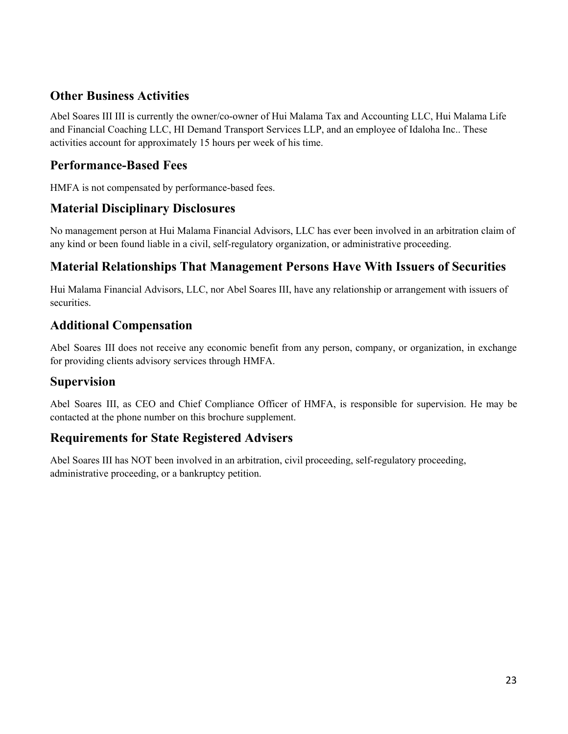### **Other Business Activities**

Abel Soares III III is currently the owner/co-owner of Hui Malama Tax and Accounting LLC, Hui Malama Life and Financial Coaching LLC, HI Demand Transport Services LLP, and an employee of Idaloha Inc.. These activities account for approximately 15 hours per week of his time.

### **Performance-Based Fees**

HMFA is not compensated by performance-based fees.

### **Material Disciplinary Disclosures**

No management person at Hui Malama Financial Advisors, LLC has ever been involved in an arbitration claim of any kind or been found liable in a civil, self-regulatory organization, or administrative proceeding.

### **Material Relationships That Management Persons Have With Issuers of Securities**

Hui Malama Financial Advisors, LLC, nor Abel Soares III, have any relationship or arrangement with issuers of securities.

### **Additional Compensation**

Abel Soares III does not receive any economic benefit from any person, company, or organization, in exchange for providing clients advisory services through HMFA.

### **Supervision**

Abel Soares III, as CEO and Chief Compliance Officer of HMFA, is responsible for supervision. He may be contacted at the phone number on this brochure supplement.

### **Requirements for State Registered Advisers**

Abel Soares III has NOT been involved in an arbitration, civil proceeding, self-regulatory proceeding, administrative proceeding, or a bankruptcy petition.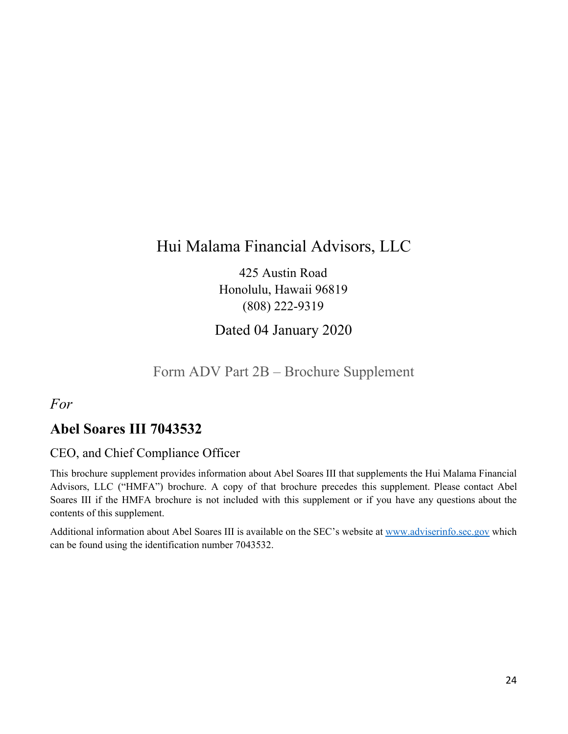## Hui Malama Financial Advisors, LLC

425 Austin Road Honolulu, Hawaii 96819 (808) 222-9319

Dated 04 January 2020

### Form ADV Part 2B – Brochure Supplement

<span id="page-23-0"></span>*For*

## **Abel Soares III 7043532**

### CEO, and Chief Compliance Officer

This brochure supplement provides information about Abel Soares III that supplements the Hui Malama Financial Advisors, LLC ("HMFA") brochure. A copy of that brochure precedes this supplement. Please contact Abel Soares III if the HMFA brochure is not included with this supplement or if you have any questions about the contents of this supplement.

Additional information about Abel Soares III is available on the SEC's website at [www.adviserinfo.sec.gov](http://www.adviserinfo.sec.gov/) which can be found using the identification number 7043532.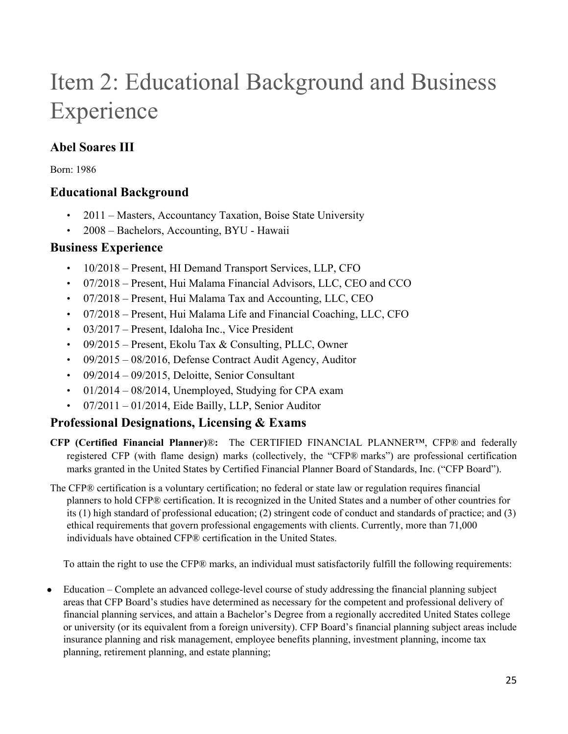# Item 2: Educational Background and Business Experience

## **Abel Soares III**

Born: 1986

### **Educational Background**

- 2011 Masters, Accountancy Taxation, Boise State University
- 2008 Bachelors, Accounting, BYU Hawaii

### **Business Experience**

- 10/2018 Present, HI Demand Transport Services, LLP, CFO
- 07/2018 Present, Hui Malama Financial Advisors, LLC, CEO and CCO
- 07/2018 Present, Hui Malama Tax and Accounting, LLC, CEO
- 07/2018 Present, Hui Malama Life and Financial Coaching, LLC, CFO
- 03/2017 Present, Idaloha Inc., Vice President
- 09/2015 Present, Ekolu Tax & Consulting, PLLC, Owner
- 09/2015 08/2016, Defense Contract Audit Agency, Auditor
- $\cdot$  09/2014 09/2015, Deloitte, Senior Consultant
- $\cdot$  01/2014 08/2014, Unemployed, Studying for CPA exam
- 07/2011 01/2014, Eide Bailly, LLP, Senior Auditor

### **Professional Designations, Licensing & Exams**

- **CFP (Certified Financial Planner)**®**:** The CERTIFIED FINANCIAL PLANNER™, CFP® and federally registered CFP (with flame design) marks (collectively, the "CFP® marks") are professional certification marks granted in the United States by Certified Financial Planner Board of Standards, Inc. ("CFP Board").
- The CFP® certification is a voluntary certification; no federal or state law or regulation requires financial planners to hold CFP® certification. It is recognized in the United States and a number of other countries for its (1) high standard of professional education; (2) stringent code of conduct and standards of practice; and (3) ethical requirements that govern professional engagements with clients. Currently, more than 71,000 individuals have obtained CFP® certification in the United States.

To attain the right to use the CFP® marks, an individual must satisfactorily fulfill the following requirements:

• Education – Complete an advanced college-level course of study addressing the financial planning subject areas that CFP Board's studies have determined as necessary for the competent and professional delivery of financial planning services, and attain a Bachelor's Degree from a regionally accredited United States college or university (or its equivalent from a foreign university). CFP Board's financial planning subject areas include insurance planning and risk management, employee benefits planning, investment planning, income tax planning, retirement planning, and estate planning;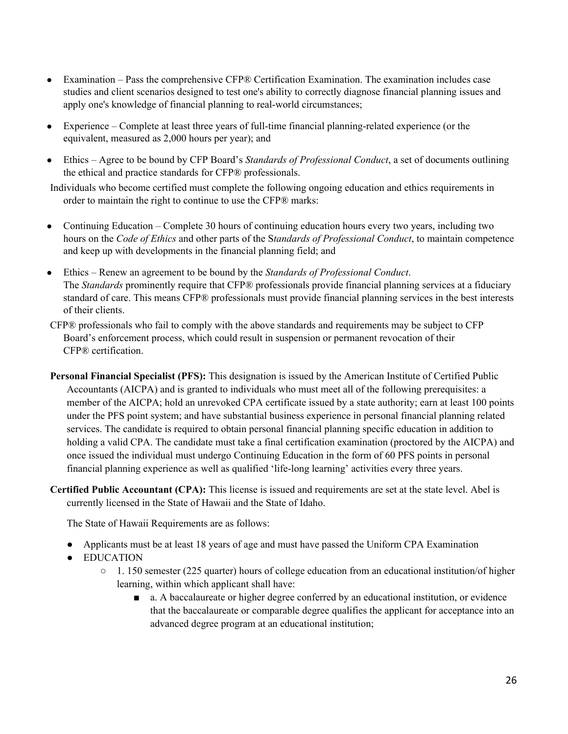- Examination Pass the comprehensive CFP® Certification Examination. The examination includes case studies and client scenarios designed to test one's ability to correctly diagnose financial planning issues and apply one's knowledge of financial planning to real-world circumstances;
- Experience Complete at least three years of full-time financial planning-related experience (or the equivalent, measured as 2,000 hours per year); and
- Ethics Agree to be bound by CFP Board's *Standards of Professional Conduct*, a set of documents outlining the ethical and practice standards for CFP® professionals.

Individuals who become certified must complete the following ongoing education and ethics requirements in order to maintain the right to continue to use the CFP® marks:

- Continuing Education Complete 30 hours of continuing education hours every two years, including two hours on the *Code of Ethics* and other parts of the S*tandards of Professional Conduct*, to maintain competence and keep up with developments in the financial planning field; and
- Ethics Renew an agreement to be bound by the *Standards of Professional Conduct*. The *Standards* prominently require that CFP® professionals provide financial planning services at a fiduciary standard of care. This means CFP® professionals must provide financial planning services in the best interests of their clients.
- CFP® professionals who fail to comply with the above standards and requirements may be subject to CFP Board's enforcement process, which could result in suspension or permanent revocation of their CFP® certification.
- **Personal Financial Specialist (PFS):** This designation is issued by the American Institute of Certified Public Accountants (AICPA) and is granted to individuals who must meet all of the following prerequisites: a member of the AICPA; hold an unrevoked CPA certificate issued by a state authority; earn at least 100 points under the PFS point system; and have substantial business experience in personal financial planning related services. The candidate is required to obtain personal financial planning specific education in addition to holding a valid CPA. The candidate must take a final certification examination (proctored by the AICPA) and once issued the individual must undergo Continuing Education in the form of 60 PFS points in personal financial planning experience as well as qualified 'life-long learning' activities every three years.
- **Certified Public Accountant (CPA):** This license is issued and requirements are set at the state level. Abel is currently licensed in the State of Hawaii and the State of Idaho.

The State of Hawaii Requirements are as follows:

- Applicants must be at least 18 years of age and must have passed the Uniform CPA Examination
- EDUCATION
	- 1. 150 semester (225 quarter) hours of college education from an educational institution/of higher learning, within which applicant shall have:
		- a. A baccalaureate or higher degree conferred by an educational institution, or evidence that the baccalaureate or comparable degree qualifies the applicant for acceptance into an advanced degree program at an educational institution;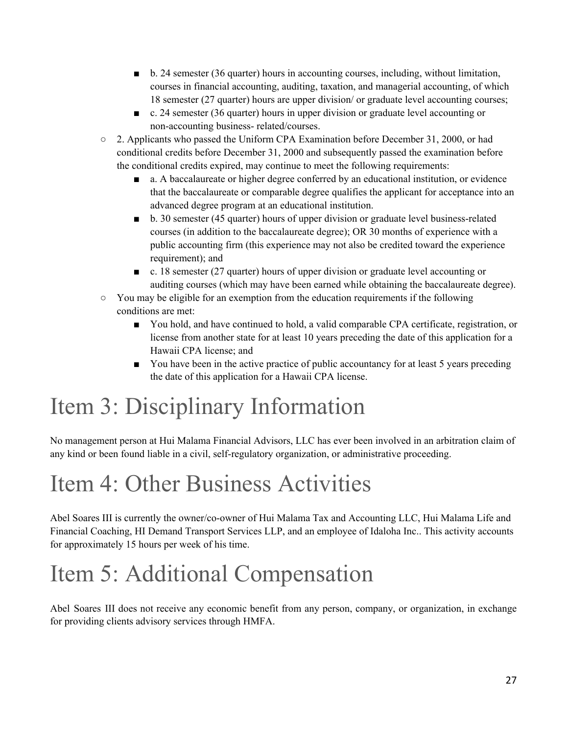- b. 24 semester (36 quarter) hours in accounting courses, including, without limitation, courses in financial accounting, auditing, taxation, and managerial accounting, of which 18 semester (27 quarter) hours are upper division/ or graduate level accounting courses;
- c. 24 semester (36 quarter) hours in upper division or graduate level accounting or non-accounting business- related/courses.
- $\circ$  2. Applicants who passed the Uniform CPA Examination before December 31, 2000, or had conditional credits before December 31, 2000 and subsequently passed the examination before the conditional credits expired, may continue to meet the following requirements:
	- a. A baccalaureate or higher degree conferred by an educational institution, or evidence that the baccalaureate or comparable degree qualifies the applicant for acceptance into an advanced degree program at an educational institution.
	- b. 30 semester (45 quarter) hours of upper division or graduate level business-related courses (in addition to the baccalaureate degree); OR 30 months of experience with a public accounting firm (this experience may not also be credited toward the experience requirement); and
	- c. 18 semester (27 quarter) hours of upper division or graduate level accounting or auditing courses (which may have been earned while obtaining the baccalaureate degree).
- $\circ$  You may be eligible for an exemption from the education requirements if the following conditions are met:
	- You hold, and have continued to hold, a valid comparable CPA certificate, registration, or license from another state for at least 10 years preceding the date of this application for a Hawaii CPA license; and
	- You have been in the active practice of public accountancy for at least 5 years preceding the date of this application for a Hawaii CPA license.

# Item 3: Disciplinary Information

No management person at Hui Malama Financial Advisors, LLC has ever been involved in an arbitration claim of any kind or been found liable in a civil, self-regulatory organization, or administrative proceeding.

## Item 4: Other Business Activities

Abel Soares III is currently the owner/co-owner of Hui Malama Tax and Accounting LLC, Hui Malama Life and Financial Coaching, HI Demand Transport Services LLP, and an employee of Idaloha Inc.. This activity accounts for approximately 15 hours per week of his time.

# Item 5: Additional Compensation

Abel Soares III does not receive any economic benefit from any person, company, or organization, in exchange for providing clients advisory services through HMFA.